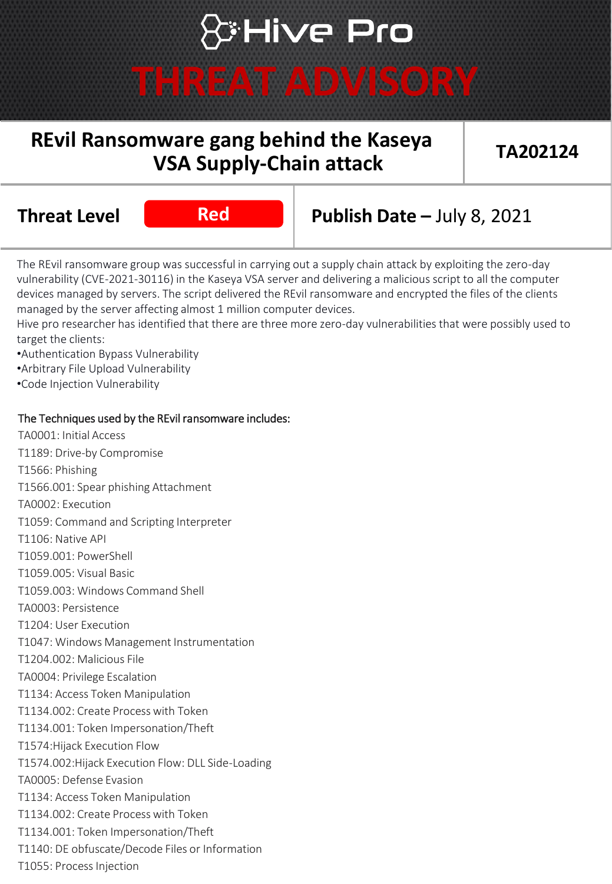# **\*Hive Pro**

## **THREAT ADVISORY**

### **REvil Ransomware gang behind the Kaseya VSA Supply-Chain attack**

**TA202124**

**Red**

## **Threat Level Red Publish Date –** July 8, 2021

The REvil ransomware group was successful in carrying out a supply chain attack by exploiting the zero-day vulnerability (CVE-2021-30116) in the Kaseya VSA server and delivering a malicious script to all the computer devices managed by servers. The script delivered the REvil ransomware and encrypted the files of the clients managed by the server affecting almost 1 million computer devices.

Hive pro researcher has identified that there are three more zero-day vulnerabilities that were possibly used to target the clients:

•Authentication Bypass Vulnerability

•Arbitrary File Upload Vulnerability

•Code Injection Vulnerability

### The Techniques used by the REvil ransomware includes:

TA0001: Initial Access T1189: Drive-by Compromise T1566: Phishing T1566.001: Spear phishing Attachment TA0002: Execution T1059: Command and Scripting Interpreter T1106: Native API T1059.001: PowerShell T1059.005: Visual Basic T1059.003: Windows Command Shell TA0003: Persistence T1204: User Execution T1047: Windows Management Instrumentation T1204.002: Malicious File TA0004: Privilege Escalation T1134: Access Token Manipulation T1134.002: Create Process with Token T1134.001: Token Impersonation/Theft T1574:Hijack Execution Flow T1574.002:Hijack Execution Flow: DLL Side-Loading TA0005: Defense Evasion T1134: Access Token Manipulation T1134.002: Create Process with Token T1134.001: Token Impersonation/Theft T1140: DE obfuscate/Decode Files or Information T1055: Process Injection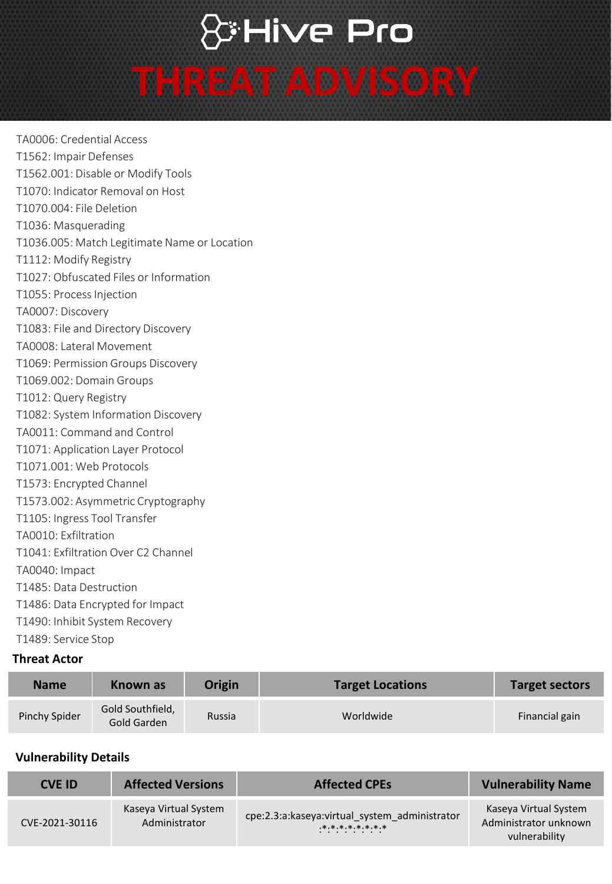## & Hive Pro

## **THREAT ADVISORY**

TA0006: Credential Access T1562: Impair Defenses T1562.001: Disable or Modify Tools T1070: Indicator Removal on Host T1070.004: File Deletion T1036: Masquerading T1036.005: Match Legitimate Name or Location T1112: Modify Registry T1027: Obfuscated Files or Information T1055: Process Injection TA0007: Discovery T1083: File and Directory Discovery TA0008: Lateral Movement T1069: Permission Groups Discovery T1069.002: Domain Groups T1012: Query Registry T1082: System Information Discovery TA0011: Command and Control T1071: Application Layer Protocol T1071.001: Web Protocols T1573: Encrypted Channel T1573.002: Asymmetric Cryptography T1105: Ingress Tool Transfer TA0010: Exfiltration T1041: Exfiltration Over C2 Channel TA0040: Impact T1485: Data Destruction T1486: Data Encrypted for Impact T1490: Inhibit System Recovery T1489: Service Stop

### **Threat Actor**

| <b>Name</b>   | Known as                        | Origin | <b>Target Locations</b> | <b>Target sectors</b> |
|---------------|---------------------------------|--------|-------------------------|-----------------------|
| Pinchy Spider | Gold Southfield,<br>Gold Garden | Russia | Worldwide               | Financial gain        |

### **Vulnerability Details**

| <b>CVE ID</b>  | <b>Affected Versions</b>               | <b>Affected CPEs</b>                                                             | <b>Vulnerability Name</b>                                       |
|----------------|----------------------------------------|----------------------------------------------------------------------------------|-----------------------------------------------------------------|
| CVE-2021-30116 | Kaseya Virtual System<br>Administrator | cpe:2.3:a:kaseya:virtual system administrator<br>$.*.*.*.*.*.*.*.*.*.*.*.*$<br>. | Kaseya Virtual System<br>Administrator unknown<br>vulnerability |